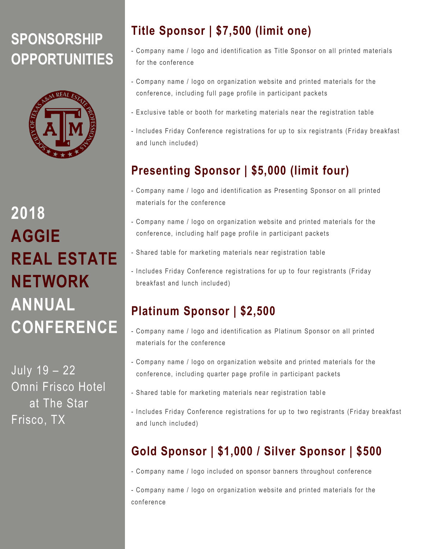# **SPONSORSHIP OPPORTUNITIES**



**2018 AGGIE REAL ESTATE NETWORK ANNUAL CONFERENCE**

July 19 – 22 Omni Frisco Hotel at The Star Frisco, TX

## **Title Sponsor | \$7,500 (limit one)**

- Company name / logo and identification as Title Sponsor on all printed materials for the conference
- Company name / logo on organization website and printed materials for the conferen ce, including full page profile in participant packets
- Exclusive table or booth for marketing materials near the registration table
- Includes Friday Conference registrations for up to six registrants (Friday breakfast and lunch included)

# **Presenting Sponsor | \$5,000 (limit four)**

- Company name / logo and identification as Presenting Sponsor on all printed materials for the conference
- Company name / logo on organization website and printed materials for the conference, including half page profile in participant packets
- Shared table for marketing materials near registration table
- Includes Friday Conference registrations for up to four registrants (Friday breakfast and lunch include d)

### **Platinum Sponsor | \$2,500**

- Company name / logo and identification as Platinum Sponsor on all printed materials for the conference
- Company name / logo on organization website and printed materials for the conference, including quarter page profile in participant packets
- Shared table for marketing materials near registration table
- Includes Friday Conference registrations for up to two registrants (Friday breakfast and lunch included)

### **Gold Sponsor | \$1,000 / Silver Sponsor | \$500**

- Company name / logo included on sponsor banners throughout conference

- Company name / logo on organization website and printed materials for the conferen ce